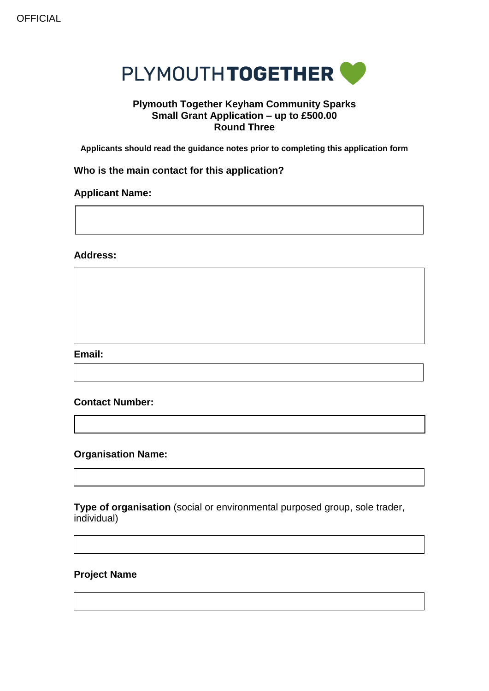#### **OFFICIAL**



## **Plymouth Together Keyham Community Sparks Small Grant Application – up to £500.00 Round Three**

**Applicants should read the guidance notes prior to completing this application form**

**Who is the main contact for this application?**

#### **Applicant Name:**

#### **Address:**

**Email:**

## **Contact Number:**

### **Organisation Name:**

**Type of organisation** (social or environmental purposed group, sole trader, individual)

#### **Project Name**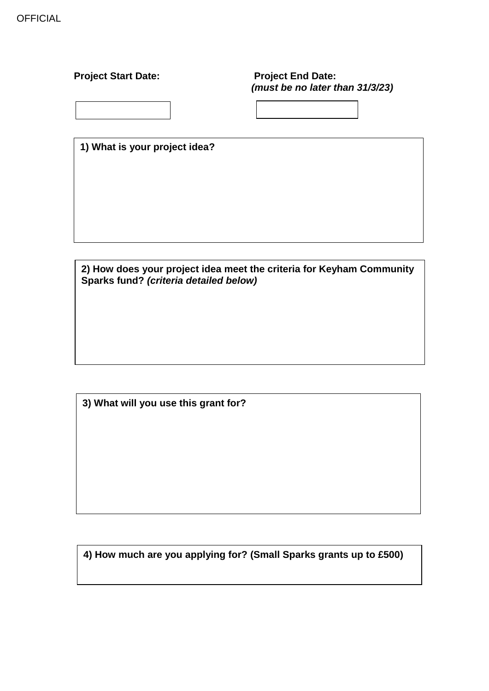**Project Start Date: Project End Date:** *(must be no later than 31/3/23)* 

| 1) What is your project idea? |  |  |  |
|-------------------------------|--|--|--|
|                               |  |  |  |

**2) How does your project idea meet the criteria for Keyham Community Sparks fund?** *(criteria detailed below)*

**3) What will you use this grant for?** 

**4) How much are you applying for? (Small Sparks grants up to £500)**